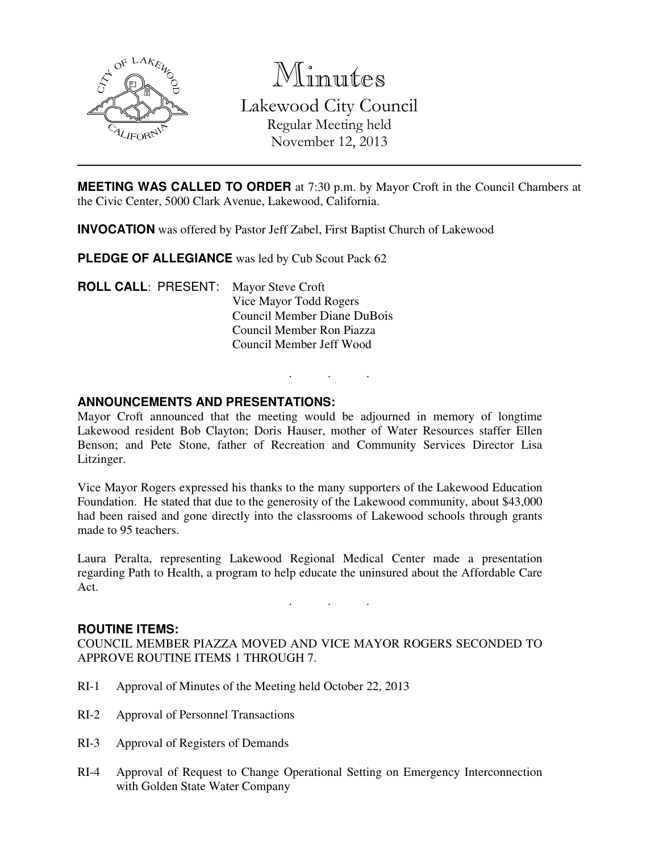

Minutes Lakewood City Council Regular Meeting held November 12, 2013

**MEETING WAS CALLED TO ORDER** at 7:30 p.m. by Mayor Croft in the Council Chambers at the Civic Center, 5000 Clark Avenue, Lakewood, California.

**INVOCATION** was offered by Pastor Jeff Zabel, First Baptist Church of Lakewood

**PLEDGE OF ALLEGIANCE** was led by Cub Scout Pack 62

**ROLL CALL**: PRESENT: Mayor Steve Croft Vice Mayor Todd Rogers Council Member Diane DuBois Council Member Ron Piazza Council Member Jeff Wood

### **ANNOUNCEMENTS AND PRESENTATIONS:**

Mayor Croft announced that the meeting would be adjourned in memory of longtime Lakewood resident Bob Clayton; Doris Hauser, mother of Water Resources staffer Ellen Benson; and Pete Stone, father of Recreation and Community Services Director Lisa Litzinger.

. . .

Vice Mayor Rogers expressed his thanks to the many supporters of the Lakewood Education Foundation. He stated that due to the generosity of the Lakewood community, about \$43,000 had been raised and gone directly into the classrooms of Lakewood schools through grants made to 95 teachers.

Laura Peralta, representing Lakewood Regional Medical Center made a presentation regarding Path to Health, a program to help educate the uninsured about the Affordable Care Act.

. . .

#### **ROUTINE ITEMS:**

COUNCIL MEMBER PIAZZA MOVED AND VICE MAYOR ROGERS SECONDED TO APPROVE ROUTINE ITEMS 1 THROUGH 7.

- RI-1 Approval of Minutes of the Meeting held October 22, 2013
- RI-2 Approval of Personnel Transactions
- RI-3 Approval of Registers of Demands
- RI-4 Approval of Request to Change Operational Setting on Emergency Interconnection with Golden State Water Company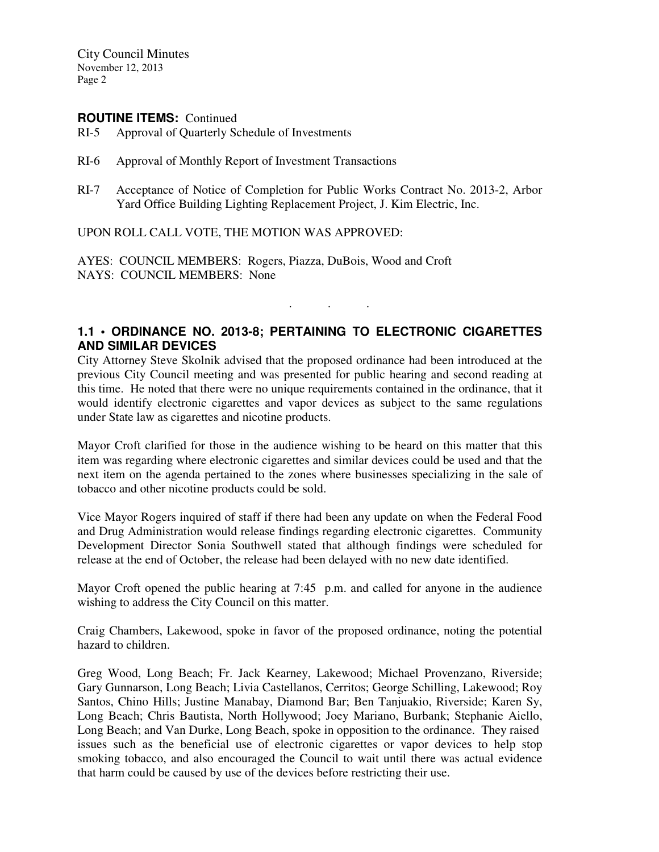City Council Minutes November 12, 2013 Page 2

#### **ROUTINE ITEMS:** Continued

- RI-5 Approval of Quarterly Schedule of Investments
- RI-6 Approval of Monthly Report of Investment Transactions
- RI-7 Acceptance of Notice of Completion for Public Works Contract No. 2013-2, Arbor Yard Office Building Lighting Replacement Project, J. Kim Electric, Inc.

UPON ROLL CALL VOTE, THE MOTION WAS APPROVED:

AYES: COUNCIL MEMBERS: Rogers, Piazza, DuBois, Wood and Croft NAYS: COUNCIL MEMBERS: None

### **1.1 • ORDINANCE NO. 2013-8; PERTAINING TO ELECTRONIC CIGARETTES AND SIMILAR DEVICES**

. . .

City Attorney Steve Skolnik advised that the proposed ordinance had been introduced at the previous City Council meeting and was presented for public hearing and second reading at this time. He noted that there were no unique requirements contained in the ordinance, that it would identify electronic cigarettes and vapor devices as subject to the same regulations under State law as cigarettes and nicotine products.

Mayor Croft clarified for those in the audience wishing to be heard on this matter that this item was regarding where electronic cigarettes and similar devices could be used and that the next item on the agenda pertained to the zones where businesses specializing in the sale of tobacco and other nicotine products could be sold.

Vice Mayor Rogers inquired of staff if there had been any update on when the Federal Food and Drug Administration would release findings regarding electronic cigarettes. Community Development Director Sonia Southwell stated that although findings were scheduled for release at the end of October, the release had been delayed with no new date identified.

Mayor Croft opened the public hearing at 7:45 p.m. and called for anyone in the audience wishing to address the City Council on this matter.

Craig Chambers, Lakewood, spoke in favor of the proposed ordinance, noting the potential hazard to children.

Greg Wood, Long Beach; Fr. Jack Kearney, Lakewood; Michael Provenzano, Riverside; Gary Gunnarson, Long Beach; Livia Castellanos, Cerritos; George Schilling, Lakewood; Roy Santos, Chino Hills; Justine Manabay, Diamond Bar; Ben Tanjuakio, Riverside; Karen Sy, Long Beach; Chris Bautista, North Hollywood; Joey Mariano, Burbank; Stephanie Aiello, Long Beach; and Van Durke, Long Beach, spoke in opposition to the ordinance. They raised issues such as the beneficial use of electronic cigarettes or vapor devices to help stop smoking tobacco, and also encouraged the Council to wait until there was actual evidence that harm could be caused by use of the devices before restricting their use.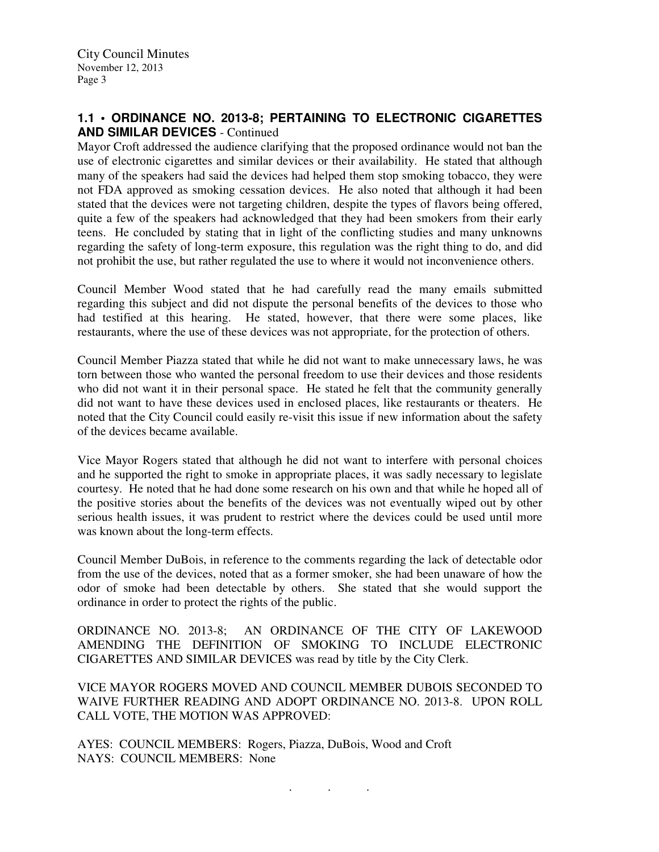# **1.1 • ORDINANCE NO. 2013-8; PERTAINING TO ELECTRONIC CIGARETTES AND SIMILAR DEVICES** - Continued

Mayor Croft addressed the audience clarifying that the proposed ordinance would not ban the use of electronic cigarettes and similar devices or their availability. He stated that although many of the speakers had said the devices had helped them stop smoking tobacco, they were not FDA approved as smoking cessation devices. He also noted that although it had been stated that the devices were not targeting children, despite the types of flavors being offered, quite a few of the speakers had acknowledged that they had been smokers from their early teens. He concluded by stating that in light of the conflicting studies and many unknowns regarding the safety of long-term exposure, this regulation was the right thing to do, and did not prohibit the use, but rather regulated the use to where it would not inconvenience others.

Council Member Wood stated that he had carefully read the many emails submitted regarding this subject and did not dispute the personal benefits of the devices to those who had testified at this hearing. He stated, however, that there were some places, like restaurants, where the use of these devices was not appropriate, for the protection of others.

Council Member Piazza stated that while he did not want to make unnecessary laws, he was torn between those who wanted the personal freedom to use their devices and those residents who did not want it in their personal space. He stated he felt that the community generally did not want to have these devices used in enclosed places, like restaurants or theaters. He noted that the City Council could easily re-visit this issue if new information about the safety of the devices became available.

Vice Mayor Rogers stated that although he did not want to interfere with personal choices and he supported the right to smoke in appropriate places, it was sadly necessary to legislate courtesy. He noted that he had done some research on his own and that while he hoped all of the positive stories about the benefits of the devices was not eventually wiped out by other serious health issues, it was prudent to restrict where the devices could be used until more was known about the long-term effects.

Council Member DuBois, in reference to the comments regarding the lack of detectable odor from the use of the devices, noted that as a former smoker, she had been unaware of how the odor of smoke had been detectable by others. She stated that she would support the ordinance in order to protect the rights of the public.

ORDINANCE NO. 2013-8; AN ORDINANCE OF THE CITY OF LAKEWOOD AMENDING THE DEFINITION OF SMOKING TO INCLUDE ELECTRONIC CIGARETTES AND SIMILAR DEVICES was read by title by the City Clerk.

VICE MAYOR ROGERS MOVED AND COUNCIL MEMBER DUBOIS SECONDED TO WAIVE FURTHER READING AND ADOPT ORDINANCE NO. 2013-8. UPON ROLL CALL VOTE, THE MOTION WAS APPROVED:

. . .

AYES: COUNCIL MEMBERS: Rogers, Piazza, DuBois, Wood and Croft NAYS: COUNCIL MEMBERS: None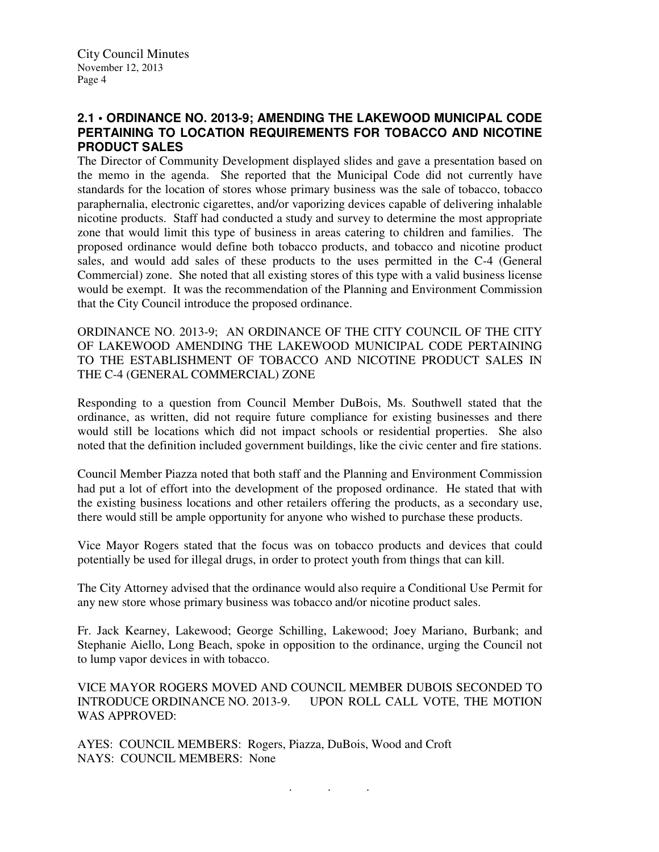# **2.1 • ORDINANCE NO. 2013-9; AMENDING THE LAKEWOOD MUNICIPAL CODE PERTAINING TO LOCATION REQUIREMENTS FOR TOBACCO AND NICOTINE PRODUCT SALES**

The Director of Community Development displayed slides and gave a presentation based on the memo in the agenda. She reported that the Municipal Code did not currently have standards for the location of stores whose primary business was the sale of tobacco, tobacco paraphernalia, electronic cigarettes, and/or vaporizing devices capable of delivering inhalable nicotine products. Staff had conducted a study and survey to determine the most appropriate zone that would limit this type of business in areas catering to children and families. The proposed ordinance would define both tobacco products, and tobacco and nicotine product sales, and would add sales of these products to the uses permitted in the C-4 (General Commercial) zone. She noted that all existing stores of this type with a valid business license would be exempt. It was the recommendation of the Planning and Environment Commission that the City Council introduce the proposed ordinance.

ORDINANCE NO. 2013-9; AN ORDINANCE OF THE CITY COUNCIL OF THE CITY OF LAKEWOOD AMENDING THE LAKEWOOD MUNICIPAL CODE PERTAINING TO THE ESTABLISHMENT OF TOBACCO AND NICOTINE PRODUCT SALES IN THE C-4 (GENERAL COMMERCIAL) ZONE

Responding to a question from Council Member DuBois, Ms. Southwell stated that the ordinance, as written, did not require future compliance for existing businesses and there would still be locations which did not impact schools or residential properties. She also noted that the definition included government buildings, like the civic center and fire stations.

Council Member Piazza noted that both staff and the Planning and Environment Commission had put a lot of effort into the development of the proposed ordinance. He stated that with the existing business locations and other retailers offering the products, as a secondary use, there would still be ample opportunity for anyone who wished to purchase these products.

Vice Mayor Rogers stated that the focus was on tobacco products and devices that could potentially be used for illegal drugs, in order to protect youth from things that can kill.

The City Attorney advised that the ordinance would also require a Conditional Use Permit for any new store whose primary business was tobacco and/or nicotine product sales.

Fr. Jack Kearney, Lakewood; George Schilling, Lakewood; Joey Mariano, Burbank; and Stephanie Aiello, Long Beach, spoke in opposition to the ordinance, urging the Council not to lump vapor devices in with tobacco.

VICE MAYOR ROGERS MOVED AND COUNCIL MEMBER DUBOIS SECONDED TO INTRODUCE ORDINANCE NO. 2013-9. UPON ROLL CALL VOTE, THE MOTION WAS APPROVED:

. . .

AYES: COUNCIL MEMBERS: Rogers, Piazza, DuBois, Wood and Croft NAYS: COUNCIL MEMBERS: None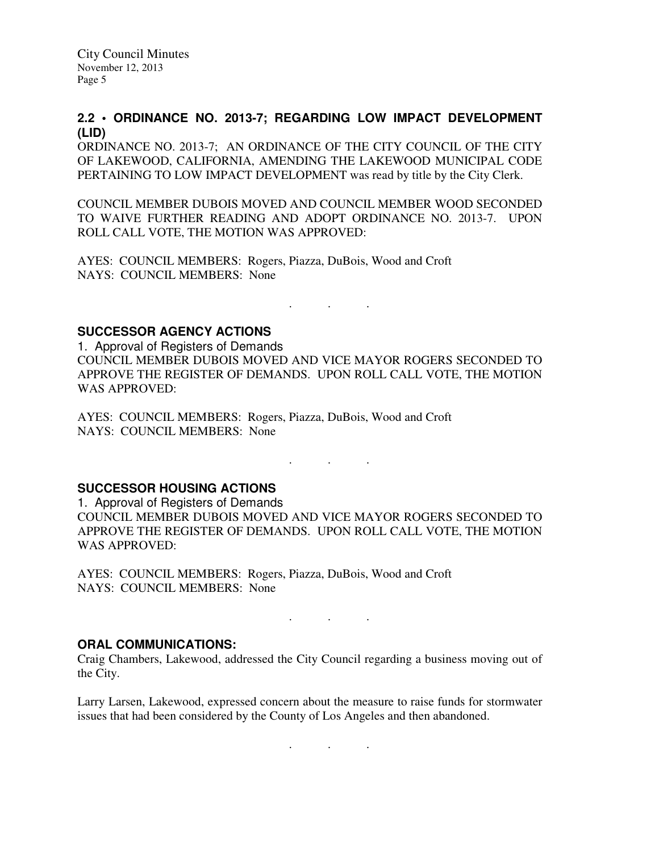City Council Minutes November 12, 2013 Page 5

### **2.2 • ORDINANCE NO. 2013-7; REGARDING LOW IMPACT DEVELOPMENT (LID)**

ORDINANCE NO. 2013-7; AN ORDINANCE OF THE CITY COUNCIL OF THE CITY OF LAKEWOOD, CALIFORNIA, AMENDING THE LAKEWOOD MUNICIPAL CODE PERTAINING TO LOW IMPACT DEVELOPMENT was read by title by the City Clerk.

COUNCIL MEMBER DUBOIS MOVED AND COUNCIL MEMBER WOOD SECONDED TO WAIVE FURTHER READING AND ADOPT ORDINANCE NO. 2013-7. UPON ROLL CALL VOTE, THE MOTION WAS APPROVED:

AYES: COUNCIL MEMBERS: Rogers, Piazza, DuBois, Wood and Croft NAYS: COUNCIL MEMBERS: None

**SUCCESSOR AGENCY ACTIONS** 

1. Approval of Registers of Demands COUNCIL MEMBER DUBOIS MOVED AND VICE MAYOR ROGERS SECONDED TO APPROVE THE REGISTER OF DEMANDS. UPON ROLL CALL VOTE, THE MOTION WAS APPROVED:

. . .

AYES: COUNCIL MEMBERS: Rogers, Piazza, DuBois, Wood and Croft NAYS: COUNCIL MEMBERS: None

# **SUCCESSOR HOUSING ACTIONS**

1. Approval of Registers of Demands COUNCIL MEMBER DUBOIS MOVED AND VICE MAYOR ROGERS SECONDED TO APPROVE THE REGISTER OF DEMANDS. UPON ROLL CALL VOTE, THE MOTION WAS APPROVED:

. . .

AYES: COUNCIL MEMBERS: Rogers, Piazza, DuBois, Wood and Croft NAYS: COUNCIL MEMBERS: None

#### **ORAL COMMUNICATIONS:**

Craig Chambers, Lakewood, addressed the City Council regarding a business moving out of the City.

. . .

Larry Larsen, Lakewood, expressed concern about the measure to raise funds for stormwater issues that had been considered by the County of Los Angeles and then abandoned.

. . .